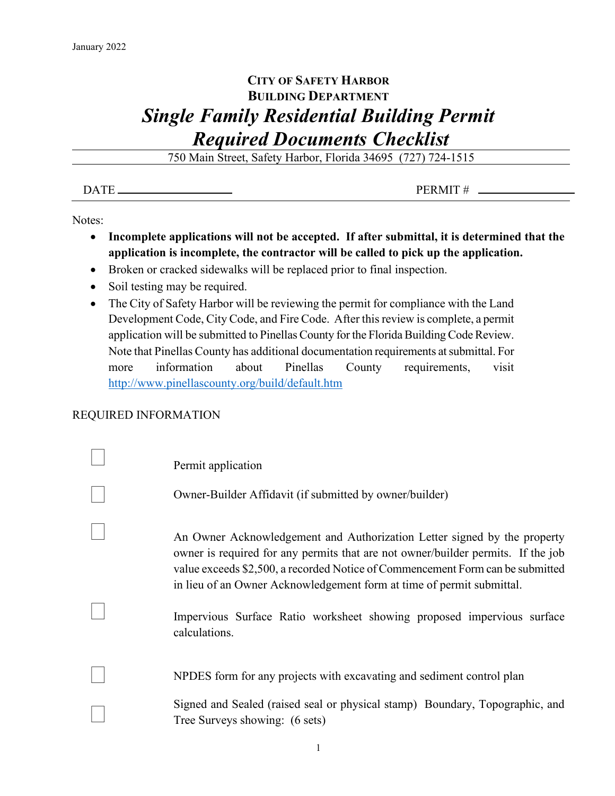## **CITY OF SAFETY HARBOR BUILDING DEPARTMENT** *Single Family Residential Building Permit Required Documents Checklist*

750 Main Street, Safety Harbor, Florida 34695 (727) 724-1515

 $\overline{DATE}$  PERMIT #  $\overline{P}$ 

Notes:

- **Incomplete applications will not be accepted. If after submittal, it is determined that the application is incomplete, the contractor will be called to pick up the application.**
- Broken or cracked sidewalks will be replaced prior to final inspection.
- Soil testing may be required.
- The City of Safety Harbor will be reviewing the permit for compliance with the Land Development Code, City Code, and Fire Code. After this review is complete, a permit application will be submitted to Pinellas County for the Florida Building Code Review. Note that Pinellas County has additional documentation requirements at submittal. For more information about Pinellas County requirements, visit <http://www.pinellascounty.org/build/default.htm>

## REQUIRED INFORMATION

| Permit application                                                                                                                                                                                                                                                                                                      |
|-------------------------------------------------------------------------------------------------------------------------------------------------------------------------------------------------------------------------------------------------------------------------------------------------------------------------|
| Owner-Builder Affidavit (if submitted by owner/builder)                                                                                                                                                                                                                                                                 |
| An Owner Acknowledgement and Authorization Letter signed by the property<br>owner is required for any permits that are not owner/builder permits. If the job<br>value exceeds \$2,500, a recorded Notice of Commencement Form can be submitted<br>in lieu of an Owner Acknowledgement form at time of permit submittal. |
| Impervious Surface Ratio worksheet showing proposed impervious surface<br>calculations.                                                                                                                                                                                                                                 |
| NPDES form for any projects with excavating and sediment control plan                                                                                                                                                                                                                                                   |
| Signed and Sealed (raised seal or physical stamp) Boundary, Topographic, and<br>Tree Surveys showing: (6 sets)                                                                                                                                                                                                          |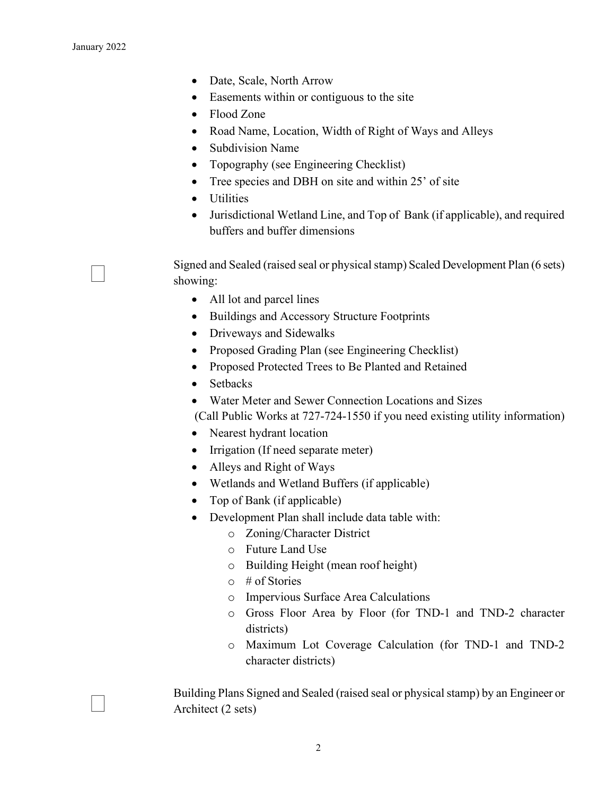- Date, Scale, North Arrow
- Easements within or contiguous to the site
- Flood Zone
- Road Name, Location, Width of Right of Ways and Alleys
- Subdivision Name
- Topography (see Engineering Checklist)
- Tree species and DBH on site and within 25' of site
- Utilities
- Jurisdictional Wetland Line, and Top of Bank (if applicable), and required buffers and buffer dimensions

 Signed and Sealed (raised seal or physical stamp) Scaled Development Plan (6 sets) showing:

- All lot and parcel lines
- Buildings and Accessory Structure Footprints
- Driveways and Sidewalks
- Proposed Grading Plan (see Engineering Checklist)
- Proposed Protected Trees to Be Planted and Retained
- Setbacks
- Water Meter and Sewer Connection Locations and Sizes

(Call Public Works at 727-724-1550 if you need existing utility information)

- Nearest hydrant location
- Irrigation (If need separate meter)
- Alleys and Right of Ways
- Wetlands and Wetland Buffers (if applicable)
- Top of Bank (if applicable)
- Development Plan shall include data table with:
	- o Zoning/Character District
	- o Future Land Use
	- o Building Height (mean roof height)
	- o # of Stories
	- o Impervious Surface Area Calculations
	- o Gross Floor Area by Floor (for TND-1 and TND-2 character districts)
	- o Maximum Lot Coverage Calculation (for TND-1 and TND-2 character districts)

 Building Plans Signed and Sealed (raised seal or physical stamp) by an Engineer or Architect (2 sets)